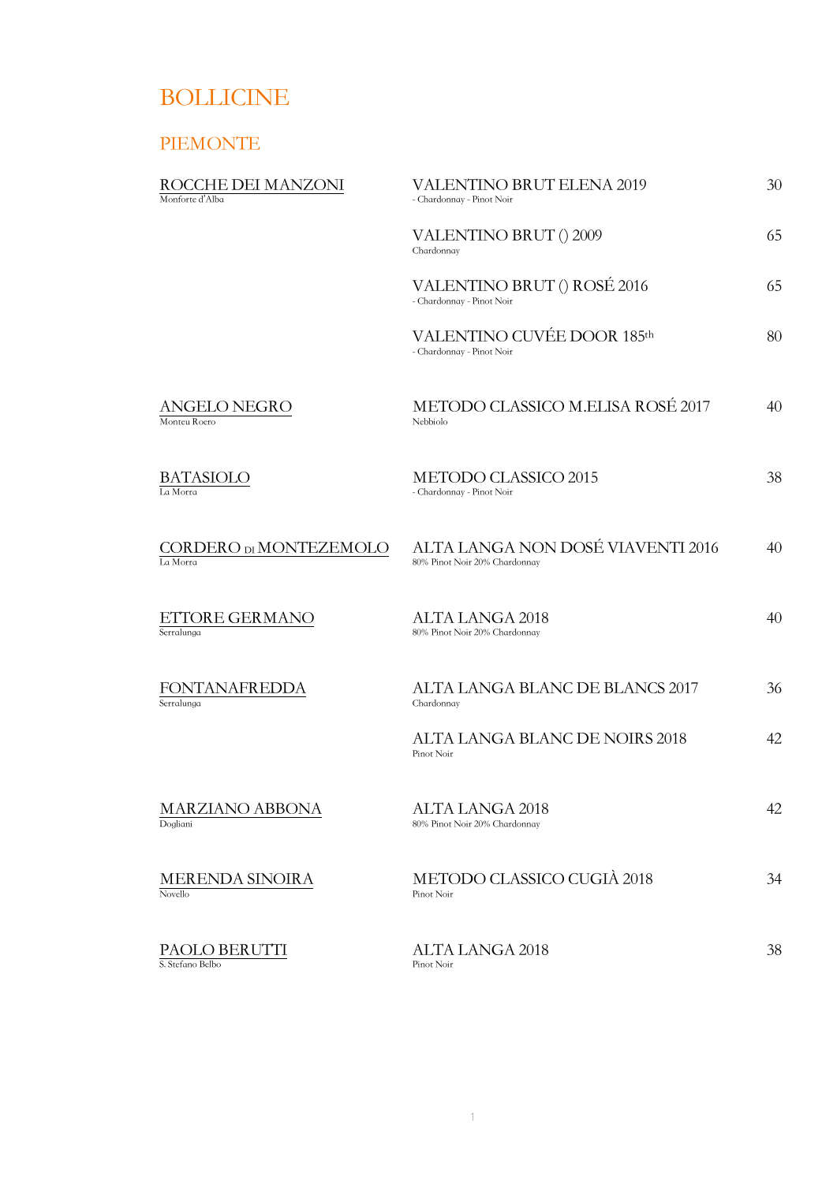# BOLLICINE

## PIEMONTE

| ROCCHE DEI MANZONI<br>Monforte d'Alba | <b>VALENTINO BRUT ELENA 2019</b><br>- Chardonnay - Pinot Noir      | 30 |
|---------------------------------------|--------------------------------------------------------------------|----|
|                                       | VALENTINO BRUT () 2009<br>Chardonnay                               | 65 |
|                                       | VALENTINO BRUT () ROSÉ 2016<br>- Chardonnay - Pinot Noir           | 65 |
|                                       | VALENTINO CUVÉE DOOR 185th<br>- Chardonnay - Pinot Noir            | 80 |
| ANGELO NEGRO<br>Monteu Roero          | METODO CLASSICO M.ELISA ROSÉ 2017<br>Nebbiolo                      | 40 |
| BATASIOLO<br>La Morra                 | METODO CLASSICO 2015<br>- Chardonnay - Pinot Noir                  | 38 |
| CORDERO DI MONTEZEMOLO<br>La Morra    | ALTA LANGA NON DOSÉ VIAVENTI 2016<br>80% Pinot Noir 20% Chardonnay | 40 |
| ETTORE GERMANO<br>Serralunga          | <b>ALTA LANGA 2018</b><br>80% Pinot Noir 20% Chardonnay            | 40 |
| FONTANAFREDDA<br>Serralunga           | ALTA LANGA BLANC DE BLANCS 2017<br>Chardonnay                      | 36 |
|                                       | ALTA LANGA BLANC DE NOIRS 2018<br>Pinot Noir                       | 42 |
| MARZIANO ABBONA<br>Dogliani           | <b>ALTA LANGA 2018</b><br>80% Pinot Noir 20% Chardonnay            | 42 |
| MERENDA SINOIRA<br>Novello            | METODO CLASSICO CUGIÀ 2018<br>Pinot Noir                           | 34 |
| PAOLO BERUTTI<br>S. Stefano Belbo     | <b>ALTA LANGA 2018</b><br>Pinot Noir                               | 38 |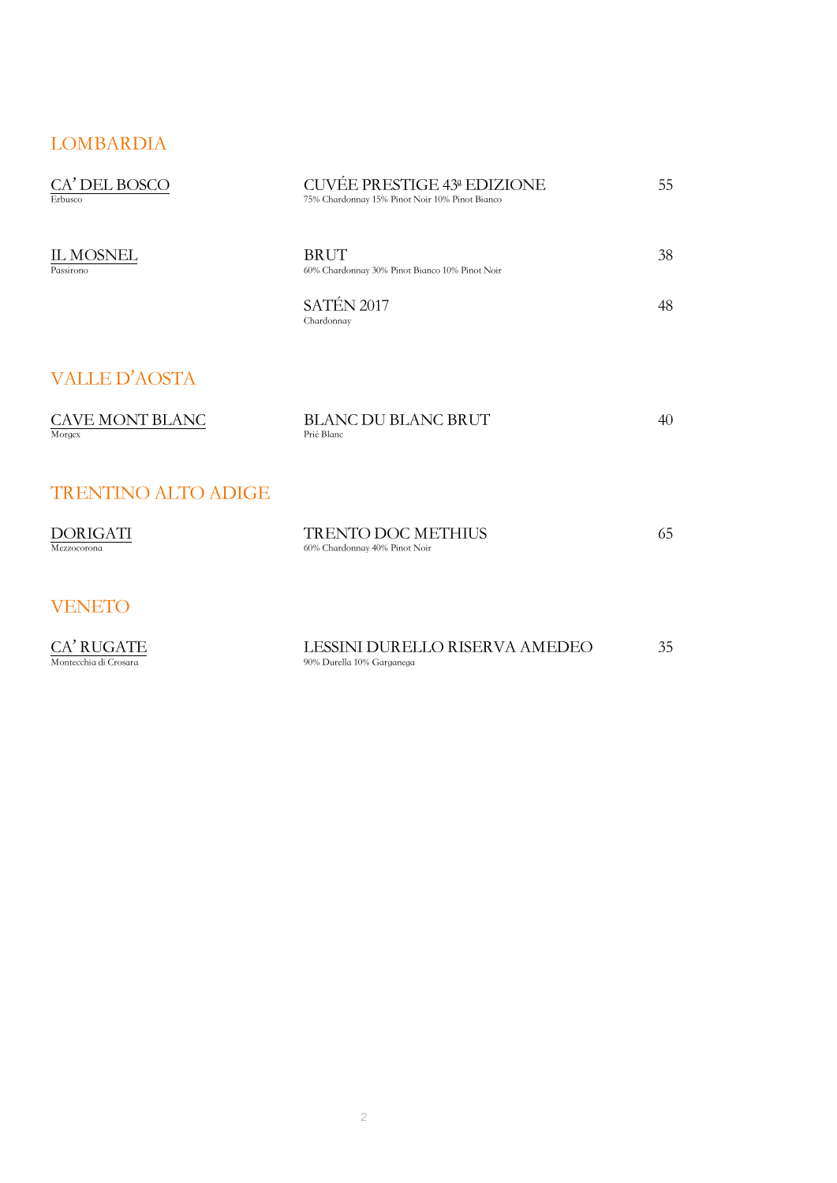### LOMBARDIA

| CA' DEL BOSCO<br>Erbusco            | CUVÉE PRESTIGE 43ª EDIZIONE<br>75% Chardonnay 15% Pinot Noir 10% Pinot Bianco | 55 |
|-------------------------------------|-------------------------------------------------------------------------------|----|
| <b>IL MOSNEL</b><br>Passirono       | <b>BRUT</b><br>60% Chardonnay 30% Pinot Bianco 10% Pinot Noir                 | 38 |
|                                     | SATÉN 2017<br>Chardonnay                                                      | 48 |
| <b>VALLE D'AOSTA</b>                |                                                                               |    |
| CAVE MONT BLANC<br>Morgex           | <b>BLANC DU BLANC BRUT</b><br>Prié Blanc                                      | 40 |
| <b>TRENTINO ALTO ADIGE</b>          |                                                                               |    |
| <b>DORIGATI</b><br>Mezzocorona      | <b>TRENTO DOC METHIUS</b><br>60% Chardonnay 40% Pinot Noir                    | 65 |
| <b>VENETO</b>                       |                                                                               |    |
| CA' RUGATE<br>Montecchia di Crosara | LESSINI DURELLO RISERVA AMEDEO<br>90% Durella 10% Garganega                   | 35 |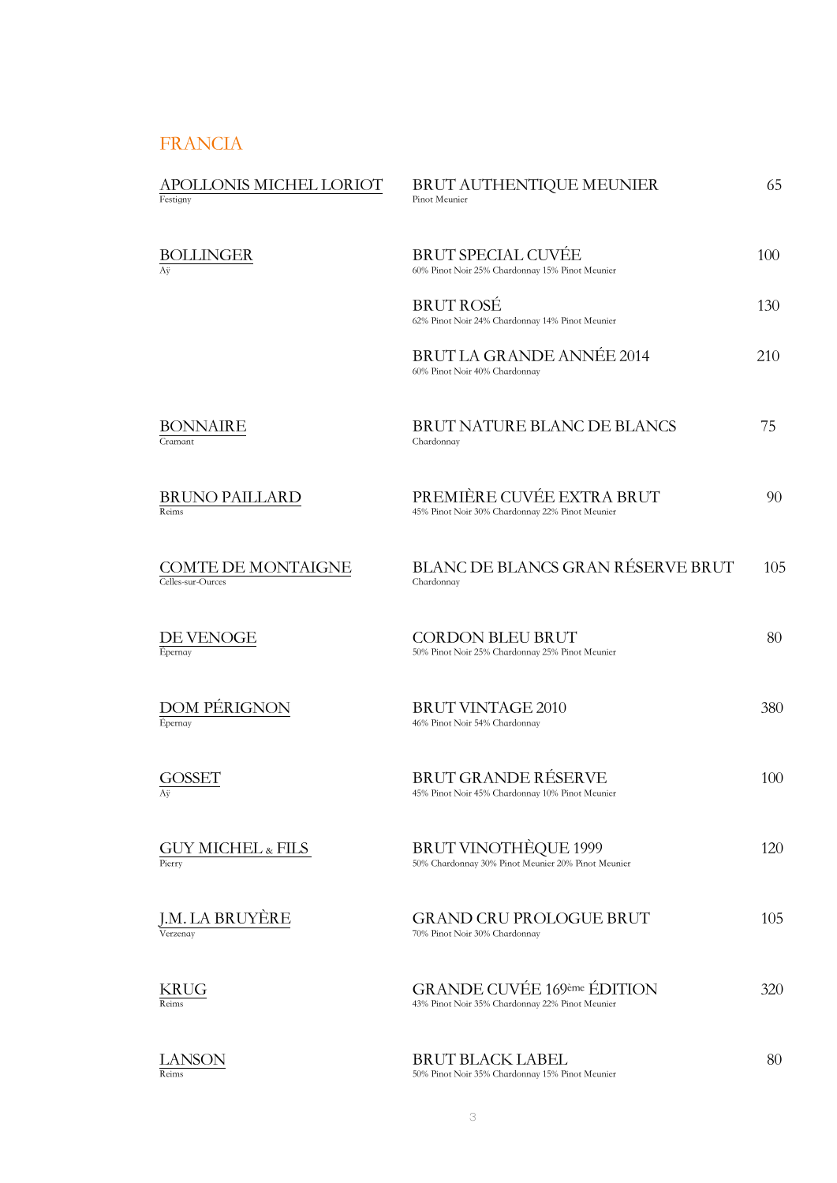#### FRANCIA

| APOLLONIS MICHEL LORIOT<br>Festigny     | BRUT AUTHENTIQUE MEUNIER<br>Pinot Meunier                                             | 65  |
|-----------------------------------------|---------------------------------------------------------------------------------------|-----|
| <b>BOLLINGER</b><br>Аÿ                  | <b>BRUT SPECIAL CUVÉE</b><br>60% Pinot Noir 25% Chardonnay 15% Pinot Meunier          | 100 |
|                                         | <b>BRUT ROSÉ</b><br>62% Pinot Noir 24% Chardonnay 14% Pinot Meunier                   | 130 |
|                                         | BRUT LA GRANDE ANNÉE 2014<br>60% Pinot Noir 40% Chardonnay                            | 210 |
| BONNAIRE<br>Cramant                     | <b>BRUT NATURE BLANC DE BLANCS</b><br>Chardonnay                                      | 75  |
| <b>BRUNO PAILLARD</b><br>Reims          | PREMIÈRE CUVÉE EXTRA BRUT<br>45% Pinot Noir 30% Chardonnay 22% Pinot Meunier          | 90  |
| COMTE DE MONTAIGNE<br>Celles-sur-Ources | <b>BLANC DE BLANCS GRAN RÉSERVE BRUT</b><br>Chardonnay                                | 105 |
| DE VENOGE<br>Épernay                    | <b>CORDON BLEU BRUT</b><br>50% Pinot Noir 25% Chardonnay 25% Pinot Meunier            | 80  |
| DOM PÉRIGNON<br>Épernay                 | <b>BRUT VINTAGE 2010</b><br>46% Pinot Noir 54% Chardonnay                             | 380 |
| OSSET<br>Аÿ                             | BRUT GRANDE RÉSERVE<br>45% Pinot Noir 45% Chardonnay 10% Pinot Meunier                | 100 |
| GUY MICHEL & FILS<br>Pierry             | <b>BRUT VINOTHÈQUE 1999</b><br>50% Chardonnay 30% Pinot Meunier 20% Pinot Meunier     | 120 |
| J.M. LA BRUYÈRE<br>Verzenay             | <b>GRAND CRU PROLOGUE BRUT</b><br>70% Pinot Noir 30% Chardonnay                       | 105 |
| KRUG<br>Reims                           | <b>GRANDE CUVÉE 169ème ÉDITION</b><br>43% Pinot Noir 35% Chardonnay 22% Pinot Meunier | 320 |
| LANSON<br>Reims                         | <b>BRUT BLACK LABEL</b><br>50% Pinot Noir 35% Chardonnay 15% Pinot Meunier            | 80  |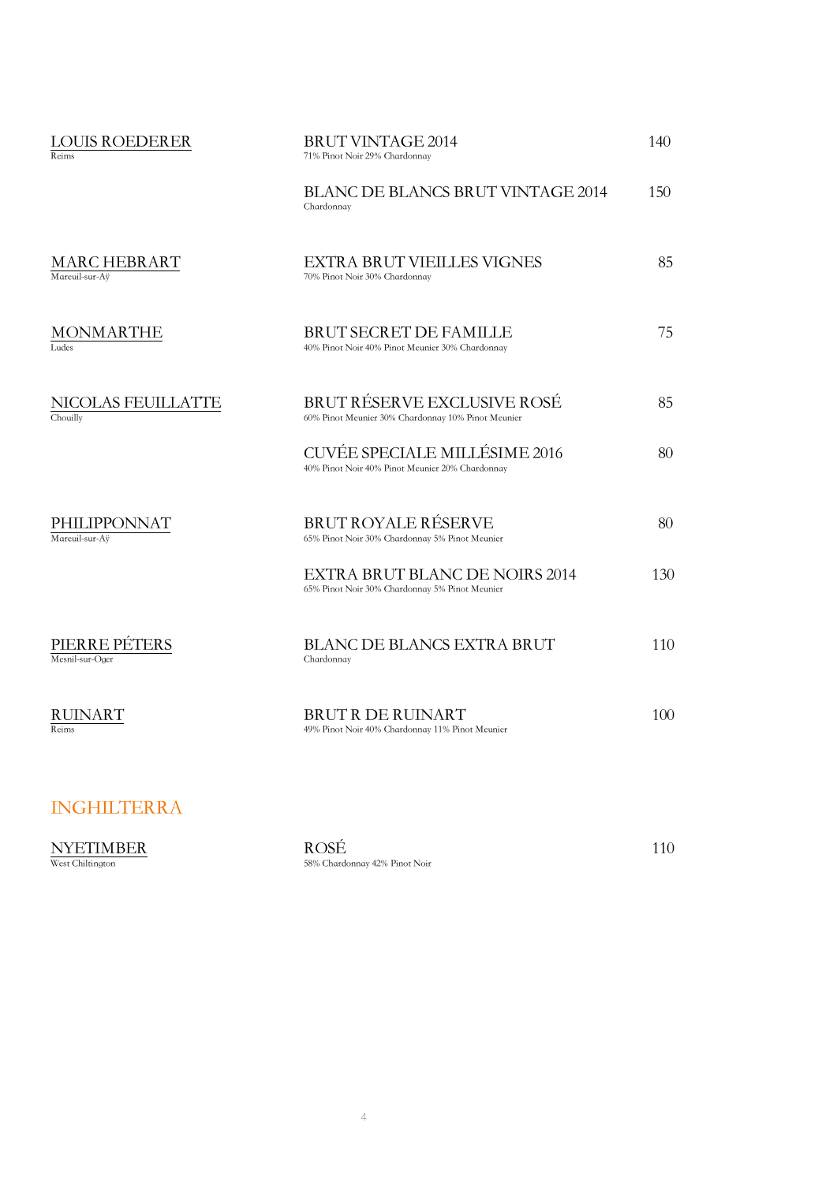| <b>BRUT VINTAGE 2014</b><br>71% Pinot Noir 29% Chardonnay                               | 140 |
|-----------------------------------------------------------------------------------------|-----|
| <b>BLANC DE BLANCS BRUT VINTAGE 2014</b><br>Chardonnay                                  | 150 |
| <b>EXTRA BRUT VIEILLES VIGNES</b><br>70% Pinot Noir 30% Chardonnay                      | 85  |
| <b>BRUT SECRET DE FAMILLE</b><br>40% Pinot Noir 40% Pinot Meunier 30% Chardonnay        | 75  |
| BRUT RÉSERVE EXCLUSIVE ROSÉ<br>60% Pinot Meunier 30% Chardonnay 10% Pinot Meunier       | 85  |
| <b>CUVÉE SPECIALE MILLÉSIME 2016</b><br>40% Pinot Noir 40% Pinot Meunier 20% Chardonnay | 80  |
| <b>BRUT ROYALE RÉSERVE</b><br>65% Pinot Noir 30% Chardonnay 5% Pinot Meunier            | 80  |
| EXTRA BRUT BLANC DE NOIRS 2014<br>65% Pinot Noir 30% Chardonnay 5% Pinot Meunier        | 130 |
| <b>BLANC DE BLANCS EXTRA BRUT</b><br>Chardonnay                                         | 110 |
| <b>BRUT R DE RUINART</b><br>49% Pinot Noir 40% Chardonnay 11% Pinot Meunier             | 100 |
|                                                                                         |     |

#### INGHILTERRA

 $\underset{\text{West Chiltington}}{\text{NYETIMBER}} \qquad \qquad \underset{\text{58% Chardonnay 42% Pinot Noir}}{\text{ROSE}} \qquad \qquad \text{110}$ 58% Chardonnay 42% Pinot Noir

4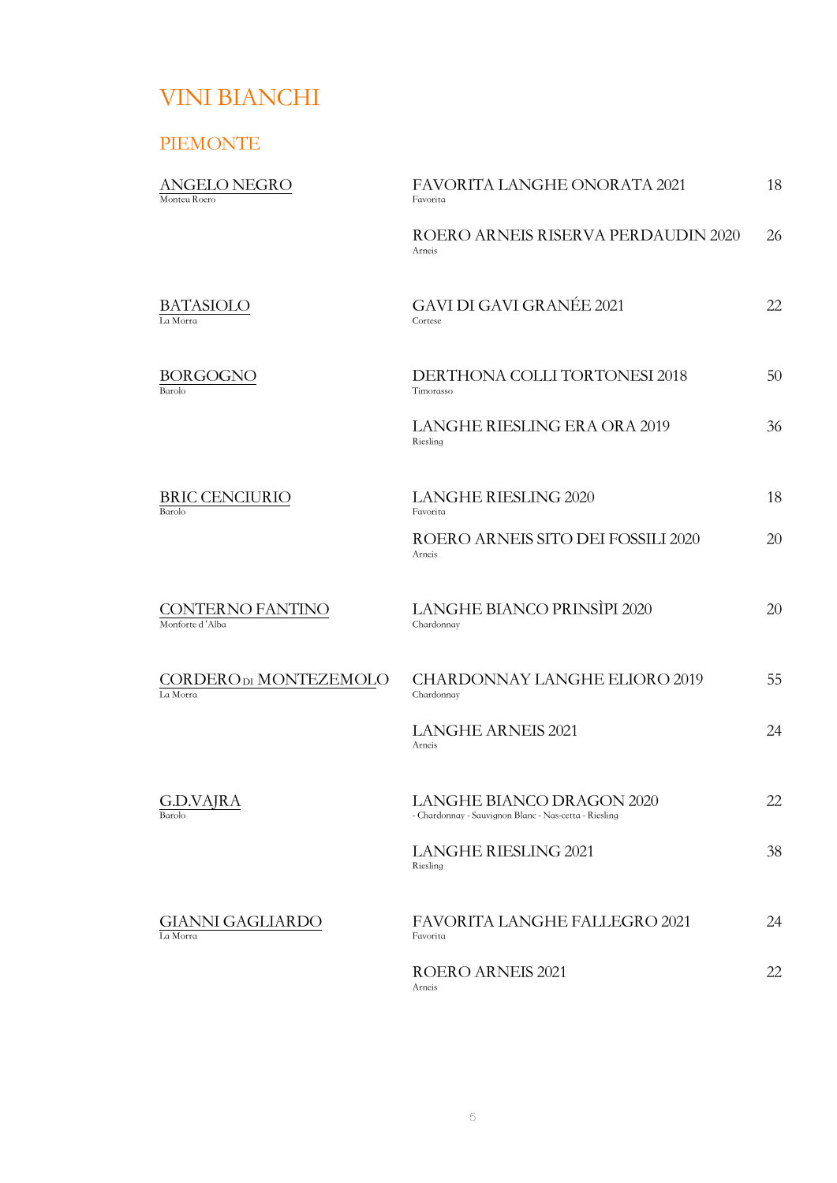# VINI BIANCHI

#### PIEMONTE

| ANGELO NEGRO<br>Monteu Roero        | FAVORITA LANGHE ONORATA 2021<br>Favorita                                           | 18 |
|-------------------------------------|------------------------------------------------------------------------------------|----|
|                                     | ROERO ARNEIS RISERVA PERDAUDIN 2020<br>Arneis                                      | 26 |
| BATASIOLO<br>La Morra               | <b>GAVI DI GAVI GRANÉE 2021</b><br>Cortese                                         | 22 |
| BORGOGNO<br>Barolo                  | DERTHONA COLLI TORTONESI 2018<br>Timorasso                                         | 50 |
|                                     | <b>LANGHE RIESLING ERA ORA 2019</b><br>Riesling                                    | 36 |
| <b>BRIC CENCIURIO</b><br>Barolo     | <b>LANGHE RIESLING 2020</b><br>Favorita                                            | 18 |
|                                     | ROERO ARNEIS SITO DEI FOSSILI 2020<br>Arneis                                       | 20 |
| CONTERNO FANTINO<br>Monforte d'Alba | LANGHE BIANCO PRINSÌPI 2020<br>Chardonnay                                          | 20 |
| CORDERODI MONTEZEMOLO<br>La Morra   | <b>CHARDONNAY LANGHE ELIORO 2019</b><br>Chardonnay                                 | 55 |
|                                     | <b>LANGHE ARNEIS 2021</b><br>Arneis                                                | 24 |
| G.D.VAJRA<br>Barolo                 | LANGHE BIANCO DRAGON 2020<br>- Chardonnay - Sauvignon Blanc - Nas-cetta - Riesling | 22 |
|                                     | <b>LANGHE RIESLING 2021</b><br>Riesling                                            | 38 |
| GIANNI GAGLIARDO<br>La Morra        | FAVORITA LANGHE FALLEGRO 2021<br>Favorita                                          | 24 |
|                                     | ROERO ARNEIS 2021<br>Arneis                                                        | 22 |
|                                     |                                                                                    |    |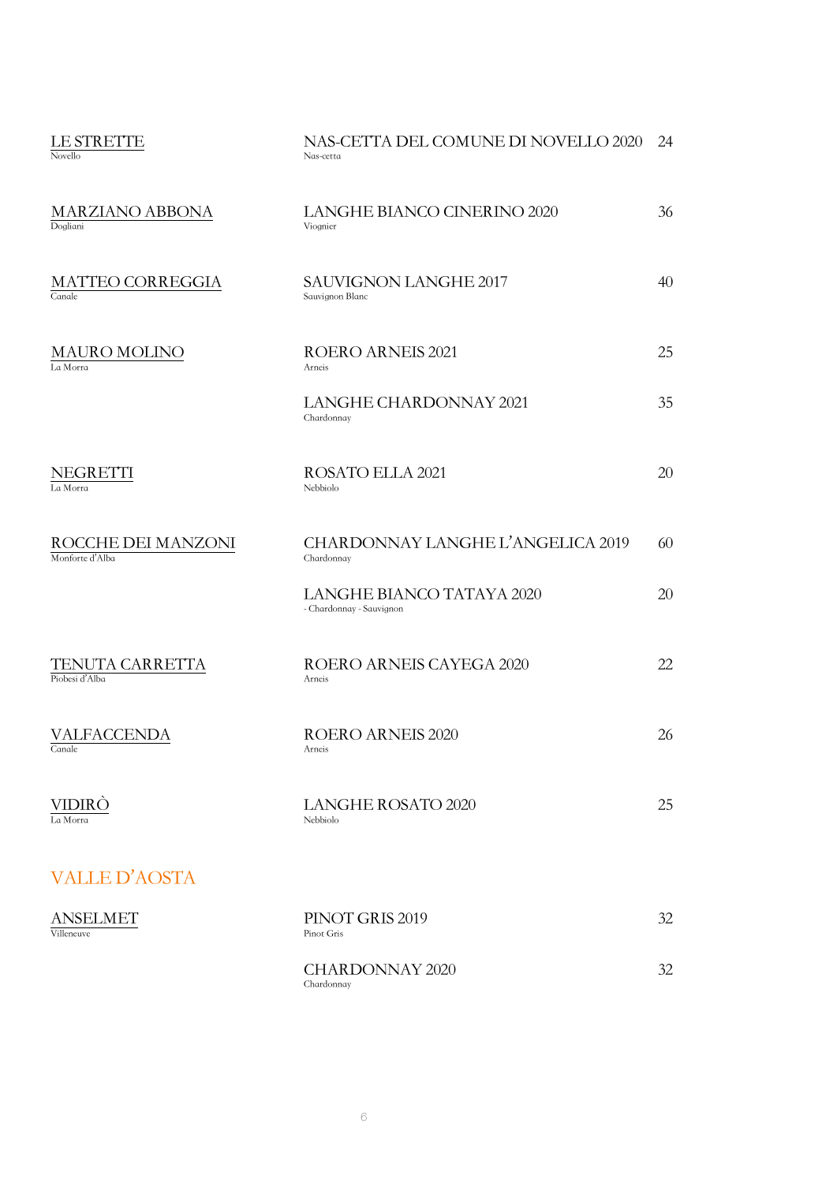| LE STRETTE<br>Novello                 | NAS-CETTA DEL COMUNE DI NOVELLO 2020<br>Nas-cetta     | 24 |
|---------------------------------------|-------------------------------------------------------|----|
| <b>MARZIANO ABBONA</b><br>Dogliani    | LANGHE BIANCO CINERINO 2020<br>Viognier               | 36 |
| <b>MATTEO CORREGGIA</b><br>Canale     | <b>SAUVIGNON LANGHE 2017</b><br>Sauvignon Blanc       | 40 |
| <b>MAURO MOLINO</b><br>La Morra       | <b>ROERO ARNEIS 2021</b><br>Arneis                    | 25 |
|                                       | <b>LANGHE CHARDONNAY 2021</b><br>Chardonnay           | 35 |
| NEGRETTI<br>La Morra                  | ROSATO ELLA 2021<br>Nebbiolo                          | 20 |
| ROCCHE DEI MANZONI<br>Monforte d'Alba | CHARDONNAY LANGHE L'ANGELICA 2019<br>Chardonnay       | 60 |
|                                       | LANGHE BIANCO TATAYA 2020<br>- Chardonnay - Sauvignon | 20 |
| TENUTA CARRETTA<br>Piobesi d'Alba     | ROERO ARNEIS CAYEGA 2020<br>Arneis                    | 22 |
| VALFACCENDA<br>Canale                 | <b>ROERO ARNEIS 2020</b><br>Arneis                    | 26 |
| VIDIRÒ<br>La Morra                    | <b>LANGHE ROSATO 2020</b><br>Nebbiolo                 | 25 |
| <b>VALLE D'AOSTA</b>                  |                                                       |    |
| <b>ANSELMET</b><br>Villeneuve         | PINOT GRIS 2019<br>Pinot Gris                         | 32 |
|                                       | <b>CHARDONNAY 2020</b><br>Chardonnay                  | 32 |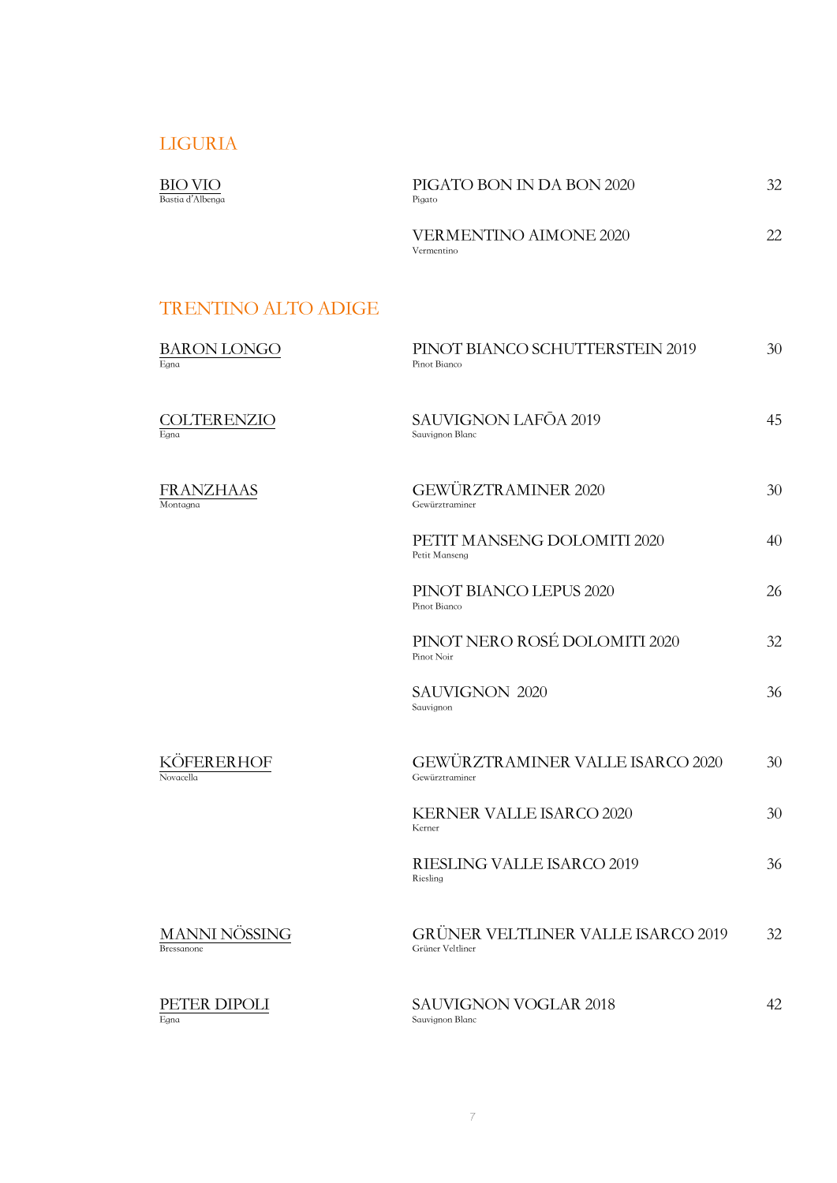#### LIGURIA

| BIO VIO<br>Bastia d'Albenga        | PIGATO BON IN DA BON 2020<br>Pigato                           | 32 |
|------------------------------------|---------------------------------------------------------------|----|
|                                    | <b>VERMENTINO AIMONE 2020</b><br>Vermentino                   | 22 |
| <b>TRENTINO ALTO ADIGE</b>         |                                                               |    |
| <b>BARON LONGO</b><br>Egna         | PINOT BIANCO SCHUTTERSTEIN 2019<br>Pinot Bianco               | 30 |
| <b>COLTERENZIO</b><br>Egna         | <b>SAUVIGNON LAFŌA 2019</b><br>Sauvignon Blanc                | 45 |
| <b>FRANZHAAS</b><br>Montagna       | <b>GEWÜRZTRAMINER 2020</b><br>Gewürztraminer                  | 30 |
|                                    | PETIT MANSENG DOLOMITI 2020<br>Petit Manseng                  | 40 |
|                                    | PINOT BIANCO LEPUS 2020<br>Pinot Bianco                       | 26 |
|                                    | PINOT NERO ROSÉ DOLOMITI 2020<br>Pinot Noir                   | 32 |
|                                    | <b>SAUVIGNON 2020</b><br>Sauvignon                            | 36 |
| <b>DERERHOF</b><br>Novacella       | GEWÜRZTRAMINER VALLE ISARCO 2020<br>Gewürztraminer            | 30 |
|                                    | <b>KERNER VALLE ISARCO 2020</b><br>Kerner                     | 30 |
|                                    | RIESLING VALLE ISARCO 2019<br>Riesling                        | 36 |
| MANNI NÖSSING<br><b>Bressanone</b> | <b>GRÜNER VELTLINER VALLE ISARCO 2019</b><br>Grüner Veltliner | 32 |
| PETER DIPOLI<br>Egna               | <b>SAUVIGNON VOGLAR 2018</b><br>Sauvignon Blanc               | 42 |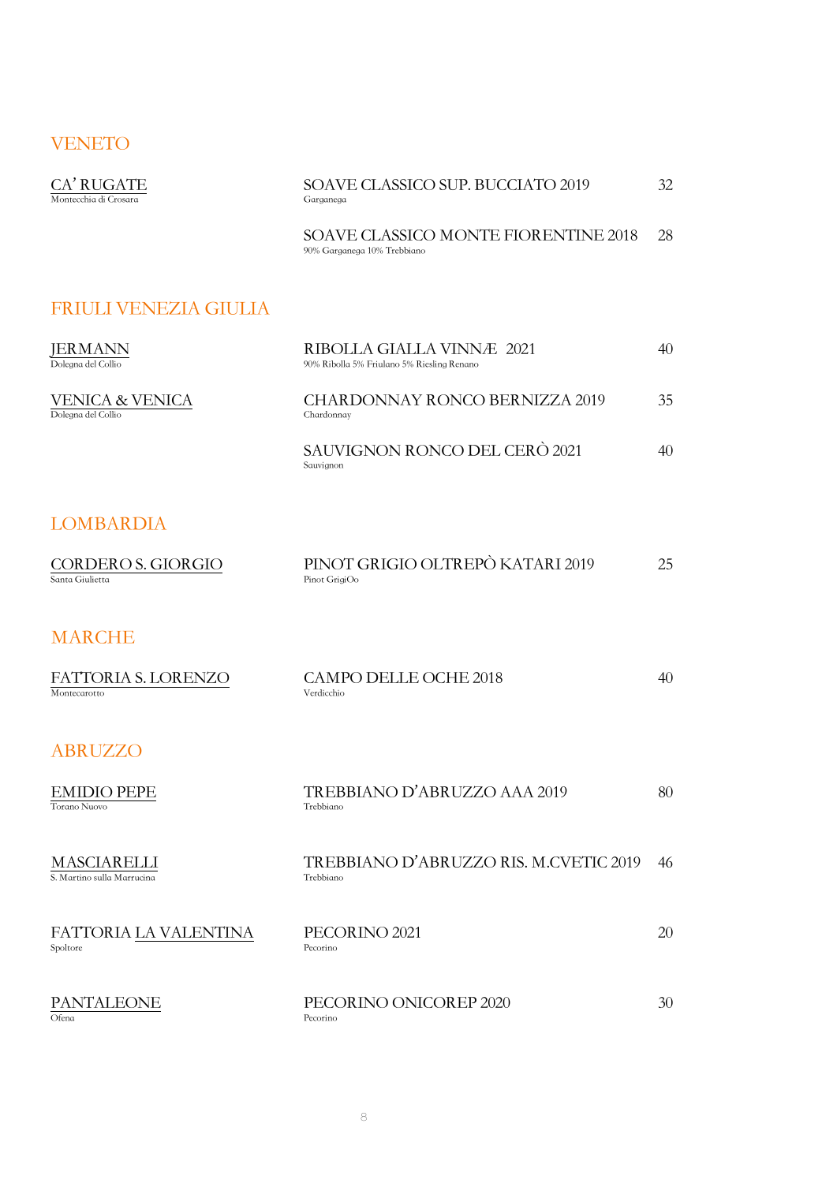#### VENETO

| CA' RUGATE<br>Montecchia di Crosara       | SOAVE CLASSICO SUP. BUCCIATO 2019<br>Garganega                          | 32 |
|-------------------------------------------|-------------------------------------------------------------------------|----|
|                                           | SOAVE CLASSICO MONTE FIORENTINE 2018<br>90% Garganega 10% Trebbiano     | 28 |
| <b>FRIULI VENEZIA GIULIA</b>              |                                                                         |    |
| JERMANN<br>Dolegna del Collio             | RIBOLLA GIALLA VINNÆ 2021<br>90% Ribolla 5% Friulano 5% Riesling Renano | 40 |
| VENICA & VENICA<br>Dolegna del Collio     | <b>CHARDONNAY RONCO BERNIZZA 2019</b><br>Chardonnay                     | 35 |
|                                           | SAUVIGNON RONCO DEL CERÒ 2021<br>Sauvignon                              | 40 |
| <b>LOMBARDIA</b>                          |                                                                         |    |
| CORDERO S. GIORGIO<br>Santa Giulietta     | PINOT GRIGIO OLTREPÒ KATARI 2019<br>Pinot GrigiOo                       | 25 |
| <b>MARCHE</b>                             |                                                                         |    |
| FATTORIA S. LORENZO<br>Montecarotto       | <b>CAMPO DELLE OCHE 2018</b><br>Verdicchio                              | 40 |
| <b>ABRUZZO</b>                            |                                                                         |    |
| <b>EMIDIO PEPE</b><br>Torano Nuovo        | TREBBIANO D'ABRUZZO AAA 2019<br>Trebbiano                               | 80 |
| MASCIARELLI<br>S. Martino sulla Marrucina | TREBBIANO D'ABRUZZO RIS. M.CVETIC 2019<br>Trebbiano                     | 46 |
| FATTORIA LA VALENTINA<br>Spoltore         | PECORINO <sub>2021</sub><br>Pecorino                                    | 20 |
| PANTALEONE<br>Ofena                       | PECORINO ONICOREP 2020<br>Pecorino                                      | 30 |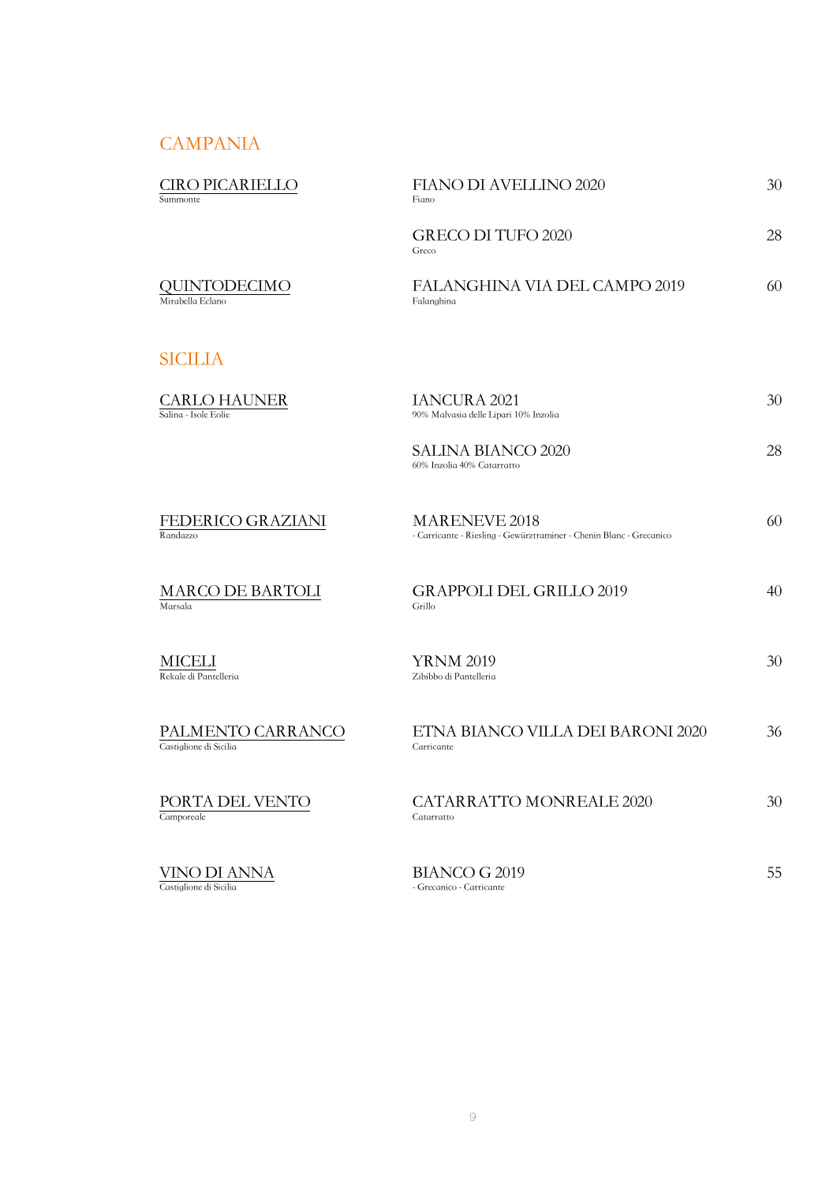#### **CAMPANIA**

| <b>CIRO PICARIELLO</b><br>Summonte          | FIANO DI AVELLINO 2020<br>Fiano                                                      | 30 |
|---------------------------------------------|--------------------------------------------------------------------------------------|----|
|                                             | <b>GRECO DI TUFO 2020</b><br>Greco                                                   | 28 |
| QUINTODECIMO<br>Mirabella Eclano            | FALANGHINA VIA DEL CAMPO 2019<br>Falanghina                                          | 60 |
| <b>SICILIA</b>                              |                                                                                      |    |
| <b>CARLO HAUNER</b><br>Salina - Isole Eolie | <b>IANCURA 2021</b><br>90% Malvasia delle Lipari 10% Inzolia                         | 30 |
|                                             | SALINA BIANCO 2020<br>60% Inzolia 40% Catarratto                                     | 28 |
| FEDERICO GRAZIANI<br>Randazzo               | MARENEVE 2018<br>- Carricante - Riesling - Gewürztraminer - Chenin Blanc - Grecanico | 60 |
| MARCO DE BARTOLI<br>Marsala                 | <b>GRAPPOLI DEL GRILLO 2019</b><br>Grillo                                            | 40 |
| MICELI<br>Rekale di Pantelleria             | <b>YRNM 2019</b><br>Zibibbo di Pantelleria                                           | 30 |
| PALMENTO CARRANCO<br>Castiglione di Sicilia | ETNA BIANCO VILLA DEI BARONI 2020<br>Carricante                                      | 36 |
| PORTA DEL VENTO<br>Camporeale               | <b>CATARRATTO MONREALE 2020</b><br>Catarratto                                        | 30 |
| VINO DI ANNA<br>Castiglione di Sicilia      | <b>BIANCO G 2019</b><br>- Grecanico - Carricante                                     | 55 |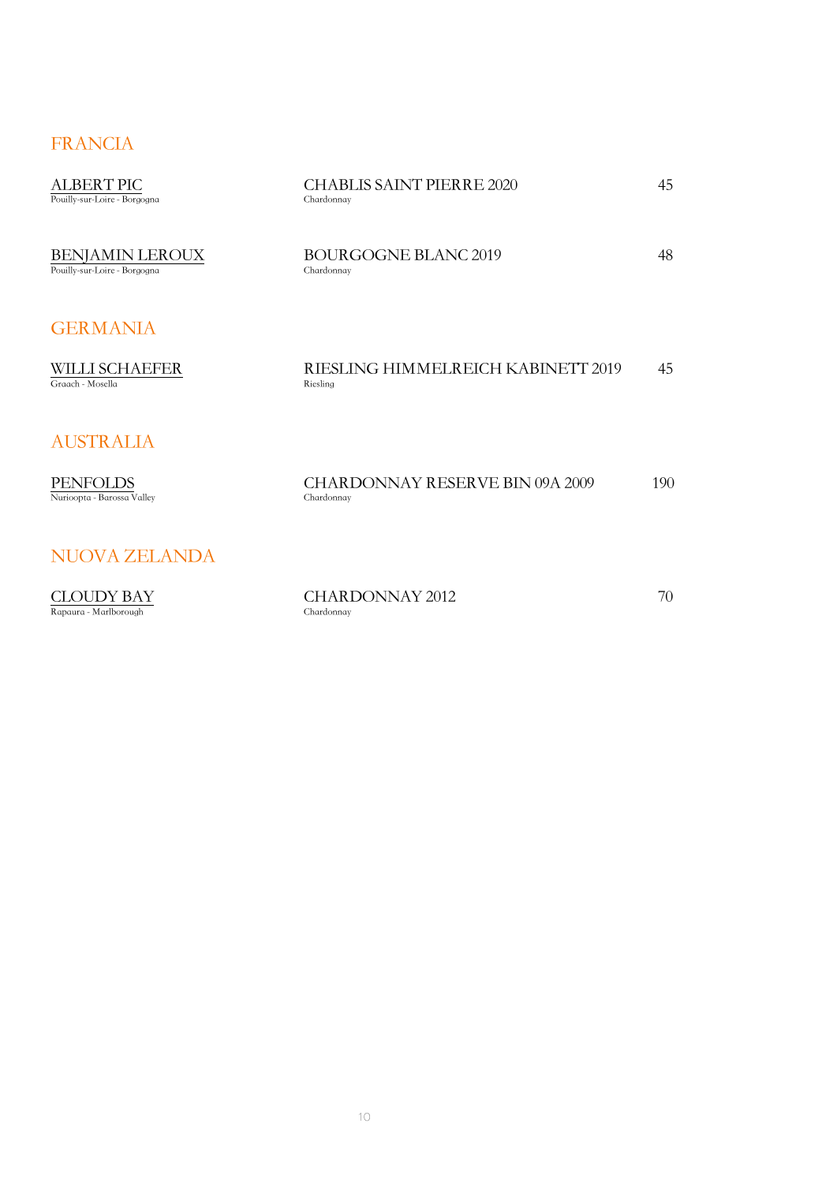### FRANCIA

| <b>ALBERT PIC</b><br>Pouilly-sur-Loire - Borgogna      | <b>CHABLIS SAINT PIERRE 2020</b><br>Chardonnay       | 45  |
|--------------------------------------------------------|------------------------------------------------------|-----|
| <b>BENJAMIN LEROUX</b><br>Pouilly-sur-Loire - Borgogna | <b>BOURGOGNE BLANC 2019</b><br>Chardonnay            | 48  |
| <b>GERMANIA</b>                                        |                                                      |     |
| <b>WILLI SCHAEFER</b><br>Graach - Mosella              | RIESLING HIMMELREICH KABINETT 2019<br>Riesling       | 45  |
| <b>AUSTRALIA</b>                                       |                                                      |     |
| <b>PENFOLDS</b><br>Nurioopta - Barossa Valley          | <b>CHARDONNAY RESERVE BIN 09A 2009</b><br>Chardonnay | 190 |
| NUOVA ZELANDA                                          |                                                      |     |
| CLOUDY BAY<br>Rapaura - Marlborough                    | <b>CHARDONNAY 2012</b><br>Chardonnav                 | 70  |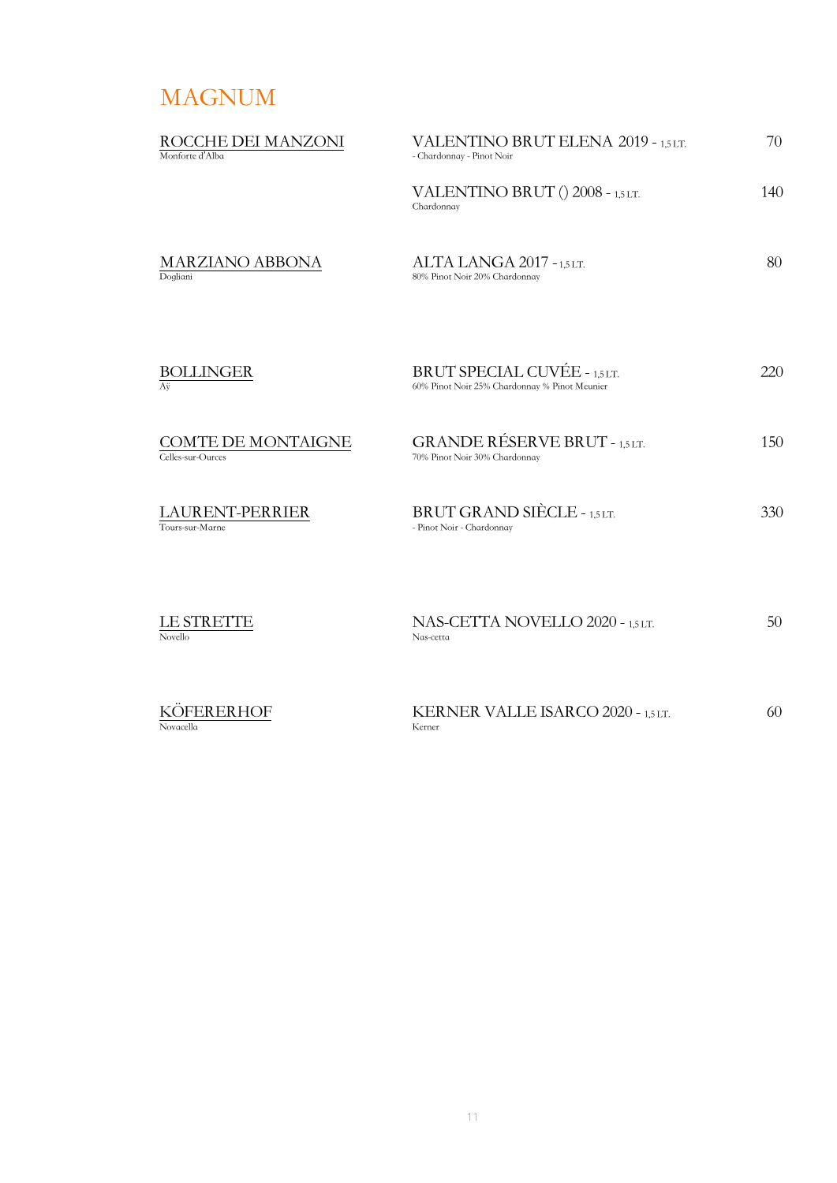# MAGNUM

| ROCCHE DEI MANZONI<br>Monforte d'Alba     | <b>VALENTINO BRUT ELENA 2019 - 1,5 LT.</b><br>- Chardonnay - Pinot Noir       | 70       |
|-------------------------------------------|-------------------------------------------------------------------------------|----------|
|                                           | VALENTINO BRUT () 2008 - 1,5 LT.<br>Chardonnay                                | 140      |
| <b>MARZIANO ABBONA</b><br>Dogliani        | ALTA LANGA 2017 - 1,5 LT.<br>80% Pinot Noir 20% Chardonnay                    | 80       |
| <b>BOLLINGER</b><br>Aÿ                    | BRUT SPECIAL CUVÉE - 1,5 LT.<br>60% Pinot Noir 25% Chardonnay % Pinot Meunier | 220      |
| COMTE DE MONTAIGNE<br>Celles-sur-Ources   | <b>GRANDE RÉSERVE BRUT - 1,5 LT.</b><br>70% Pinot Noir 30% Chardonnay         | 150      |
| <b>LAURENT-PERRIER</b><br>Tours-sur-Marne | BRUT GRAND SIÈCLE - 1,5 LT.<br>- Pinot Noir - Chardonnay                      | 330      |
| LE STRETTE<br>Novello                     | NAS-CETTA NOVELLO 2020 - 1,5 LT.<br>Nas-cetta                                 | 50       |
| <i>VÖEERER UOE</i>                        | <b><i>VERNER VALLE JSARCO 2020</i></b>                                        | $\Omega$ |

| KOFERERHOF | KERNER VALLE ISARCO 2020 - 1,5 LT. |  |
|------------|------------------------------------|--|
| Novacella  | Kerner                             |  |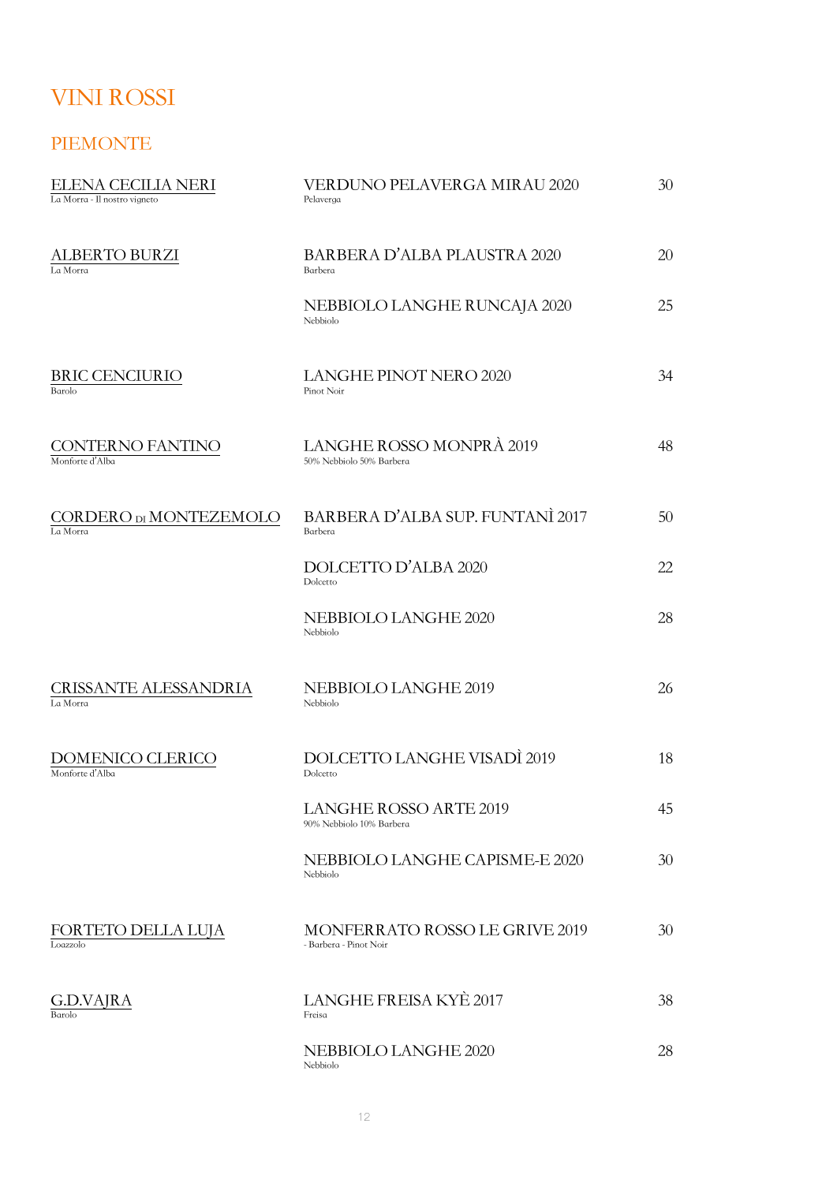# VINI ROSSI

#### PIEMONTE

| ELENA CECILIA NERI<br>La Morra - Il nostro vigneto | VERDUNO PELAVERGA MIRAU 2020<br>Pelaverga                | 30 |
|----------------------------------------------------|----------------------------------------------------------|----|
| ALBERTO BURZI<br>La Morra                          | <b>BARBERA D'ALBA PLAUSTRA 2020</b><br>Barbera           | 20 |
|                                                    | NEBBIOLO LANGHE RUNCAJA 2020<br>Nebbiolo                 | 25 |
| BRIC CENCIURIO<br>Barolo                           | <b>LANGHE PINOT NERO 2020</b><br>Pinot Noir              | 34 |
| CONTERNO FANTINO<br>Monforte d'Alba                | LANGHE ROSSO MONPRÀ 2019<br>50% Nebbiolo 50% Barbera     | 48 |
| CORDERO DI MONTEZEMOLO<br>La Morra                 | BARBERA D'ALBA SUP. FUNTANÌ 2017<br>Barbera              | 50 |
|                                                    | DOLCETTO D'ALBA 2020<br>Dolcetto                         | 22 |
|                                                    | NEBBIOLO LANGHE 2020<br>Nebbiolo                         | 28 |
| CRISSANTE ALESSANDRIA<br>La Morra                  | NEBBIOLO LANGHE 2019<br>Nebbiolo                         | 26 |
| DOMENICO CLERICO<br>Monforte d'Alba                | DOLCETTO LANGHE VISADÌ 2019<br>Dolcetto                  | 18 |
|                                                    | LANGHE ROSSO ARTE 2019<br>90% Nebbiolo 10% Barbera       | 45 |
|                                                    | NEBBIOLO LANGHE CAPISME-E 2020<br>Nebbiolo               | 30 |
| FORTETO DELLA LUJA<br>Loazzolo                     | MONFERRATO ROSSO LE GRIVE 2019<br>- Barbera - Pinot Noir | 30 |
| G.D.VAJRA<br>Barolo                                | LANGHE FREISA KYÈ 2017<br>Freisa                         | 38 |
|                                                    | NEBBIOLO LANGHE 2020<br>Nebbiolo                         | 28 |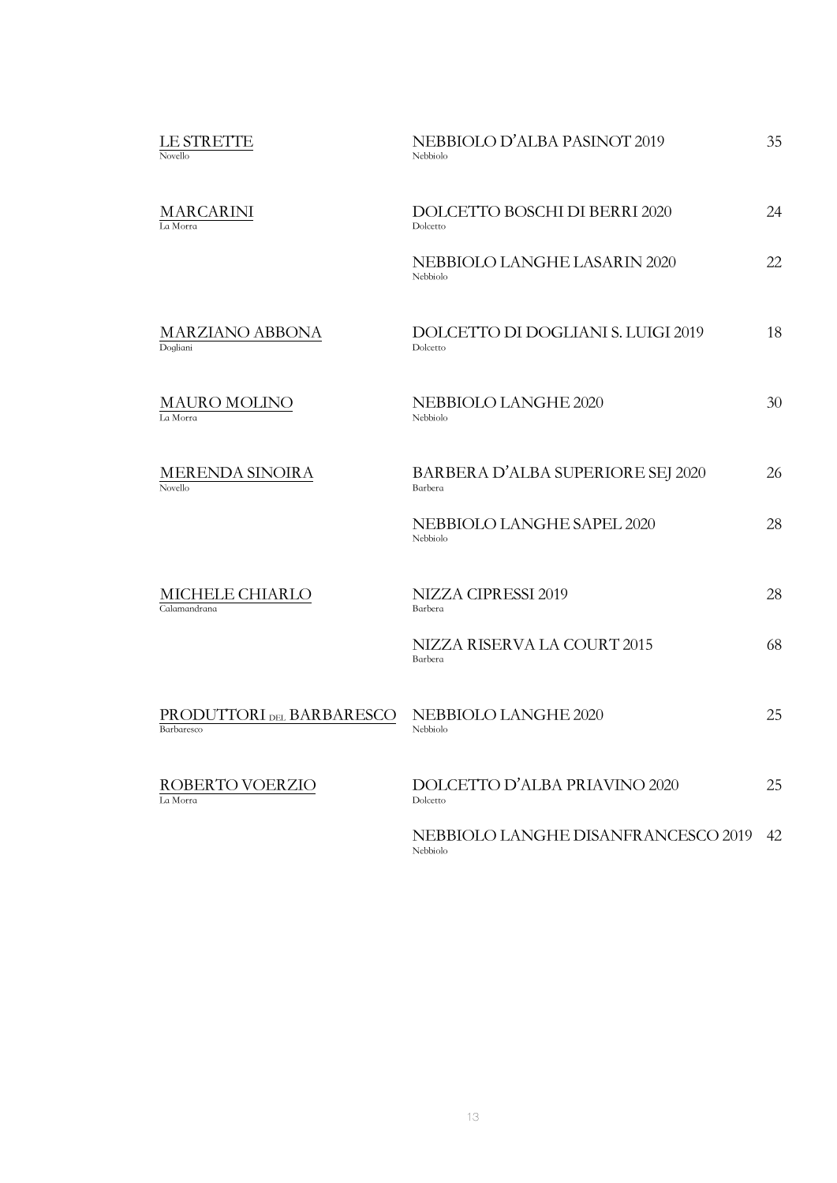|                                 | LE STRETTE<br>Novello                   | NEBBIOLO D'ALBA PASINOT 2019<br>Nebbiolo        | 35 |
|---------------------------------|-----------------------------------------|-------------------------------------------------|----|
|                                 | <b>MARCARINI</b><br>La Morra            | DOLCETTO BOSCHI DI BERRI 2020<br>Dolcetto       | 24 |
|                                 |                                         | NEBBIOLO LANGHE LASARIN 2020<br>Nebbiolo        | 22 |
|                                 | <b>MARZIANO ABBONA</b><br>Dogliani      | DOLCETTO DI DOGLIANI S. LUIGI 2019<br>Dolcetto  | 18 |
|                                 | <b>MAURO MOLINO</b><br>La Morra         | NEBBIOLO LANGHE 2020<br>Nebbiolo                | 30 |
|                                 | <b>MERENDA SINOIRA</b><br>Novello       | BARBERA D'ALBA SUPERIORE SEJ 2020<br>Barbera    | 26 |
|                                 | NEBBIOLO LANGHE SAPEL 2020<br>Nebbiolo  | 28                                              |    |
| MICHELE CHIARLO<br>Calamandrana | NIZZA CIPRESSI 2019<br>Barbera          | 28                                              |    |
|                                 | NIZZA RISERVA LA COURT 2015<br>Barbera  | 68                                              |    |
|                                 | PRODUTTORI DEL BARBARESCO<br>Barbaresco | NEBBIOLO LANGHE 2020<br>Nebbiolo                | 25 |
|                                 | ROBERTO VOERZIO<br>La Morra             | DOLCETTO D'ALBA PRIAVINO 2020<br>Dolcetto       | 25 |
|                                 |                                         | NEBBIOLO LANGHE DISANFRANCESCO 2019<br>Nebbiolo | 42 |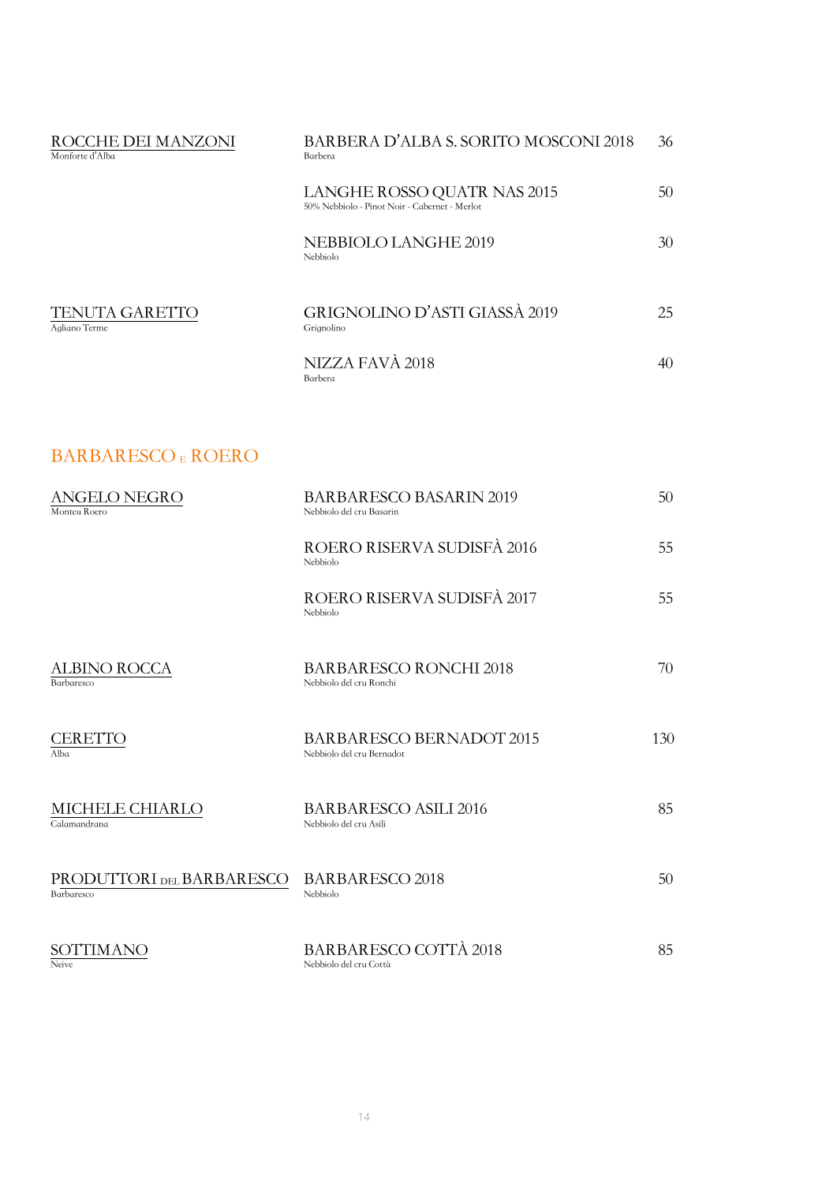| ROCCHE DEI MANZONI<br>Monforte d'Alba | BARBERA D'ALBA S. SORITO MOSCONI 2018<br>Barbera                             | 36 |
|---------------------------------------|------------------------------------------------------------------------------|----|
|                                       | LANGHE ROSSO QUATR NAS 2015<br>50% Nebbiolo - Pinot Noir - Cabernet - Merlot | 50 |
|                                       | NEBBIOLO LANGHE 2019<br>Nebbiolo                                             | 30 |
| TENUTA GARETTO<br>Agliano Terme       | GRIGNOLINO D'ASTI GIASSÀ 2019<br>Grignolino                                  | 25 |
|                                       | NIZZA FAVÀ 2018<br>Barbera                                                   | 40 |
|                                       |                                                                              |    |

## BARBARESCO E ROERO

| ANGELO NEGRO<br>Monteu Roero            | <b>BARBARESCO BASARIN 2019</b><br>Nebbiolo del cru Basarin   | 50  |
|-----------------------------------------|--------------------------------------------------------------|-----|
|                                         | ROERO RISERVA SUDISFÀ 2016<br>Nebbiolo                       | 55  |
|                                         | ROERO RISERVA SUDISFÀ 2017<br>Nebbiolo                       | 55  |
| <b>ALBINO ROCCA</b><br>Barbaresco       | <b>BARBARESCO RONCHI 2018</b><br>Nebbiolo del cru Ronchi     | 70  |
| <b>CERETTO</b><br>Alba                  | <b>BARBARESCO BERNADOT 2015</b><br>Nebbiolo del cru Bernadot | 130 |
| MICHELE CHIARLO<br>Calamandrana         | <b>BARBARESCO ASILI 2016</b><br>Nebbiolo del cru Asili       | 85  |
| PRODUTTORI DEL BARBARESCO<br>Barbaresco | <b>BARBARESCO 2018</b><br>Nebbiolo                           | 50  |
| SOTTIMANO<br>Neive                      | BARBARESCO COTTÀ 2018<br>Nebbiolo del cru Cottà              | 85  |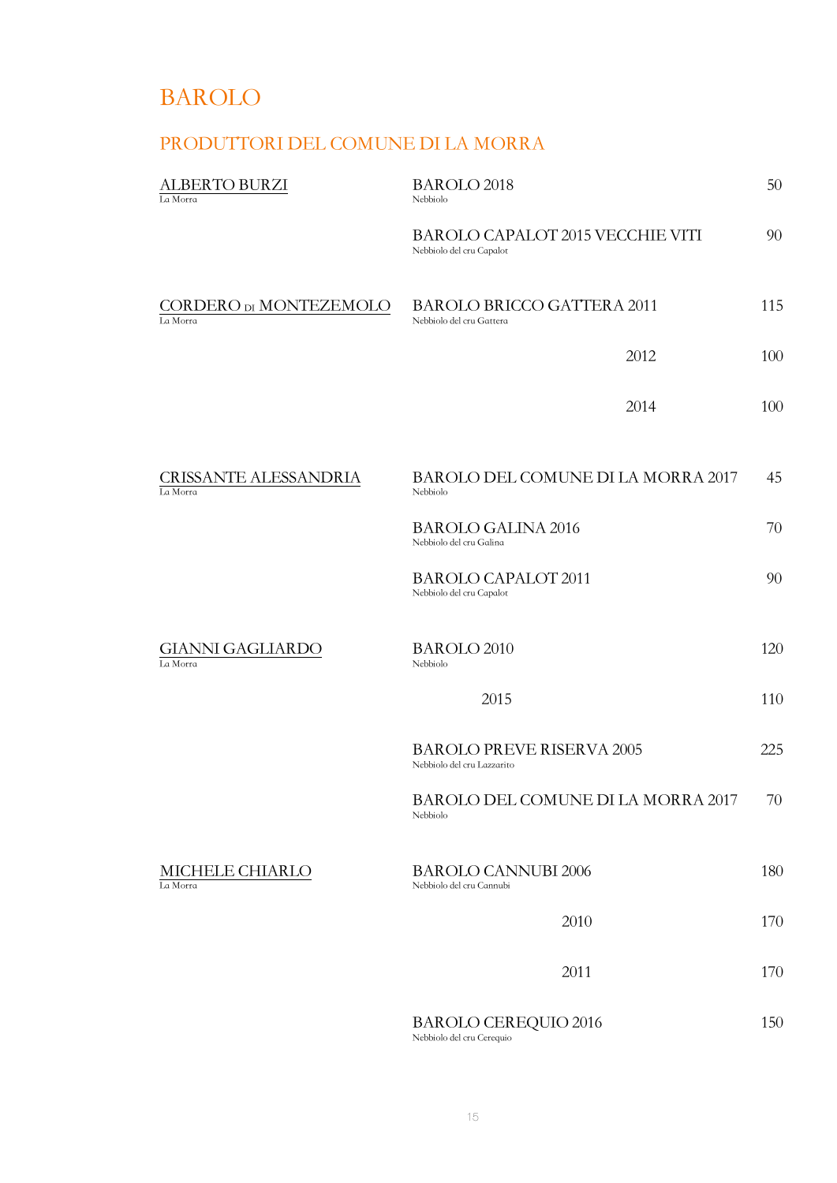# BAROLO

### PRODUTTORI DEL COMUNE DI LA MORRA

| <b>ALBERTO BURZI</b><br>La Morra         | <b>BAROLO 2018</b><br>Nebbiolo                                 | 50  |
|------------------------------------------|----------------------------------------------------------------|-----|
|                                          | BAROLO CAPALOT 2015 VECCHIE VITI<br>Nebbiolo del cru Capalot   | 90  |
| CORDERO DI MONTEZEMOLO<br>La Morra       | <b>BAROLO BRICCO GATTERA 2011</b><br>Nebbiolo del cru Gattera  | 115 |
|                                          | 2012                                                           | 100 |
|                                          | 2014                                                           | 100 |
| <b>CRISSANTE ALESSANDRIA</b><br>La Morra | BAROLO DEL COMUNE DI LA MORRA 2017<br>Nebbiolo                 | 45  |
|                                          | <b>BAROLO GALINA 2016</b><br>Nebbiolo del cru Galina           | 70  |
|                                          | <b>BAROLO CAPALOT 2011</b><br>Nebbiolo del cru Capalot         | 90  |
| <b>GIANNI GAGLIARDO</b><br>La Morra      | <b>BAROLO 2010</b><br>Nebbiolo                                 | 120 |
|                                          | 2015                                                           | 110 |
|                                          | <b>BAROLO PREVE RISERVA 2005</b><br>Nebbiolo del cru Lazzarito | 225 |
|                                          | BAROLO DEL COMUNE DI LA MORRA 2017<br>Nebbiolo                 | 70  |
| MICHELE CHIARLO<br>La Morra              | <b>BAROLO CANNUBI 2006</b><br>Nebbiolo del cru Cannubi         | 180 |
|                                          | 2010                                                           | 170 |
|                                          | 2011                                                           | 170 |
|                                          | <b>BAROLO CEREQUIO 2016</b>                                    | 150 |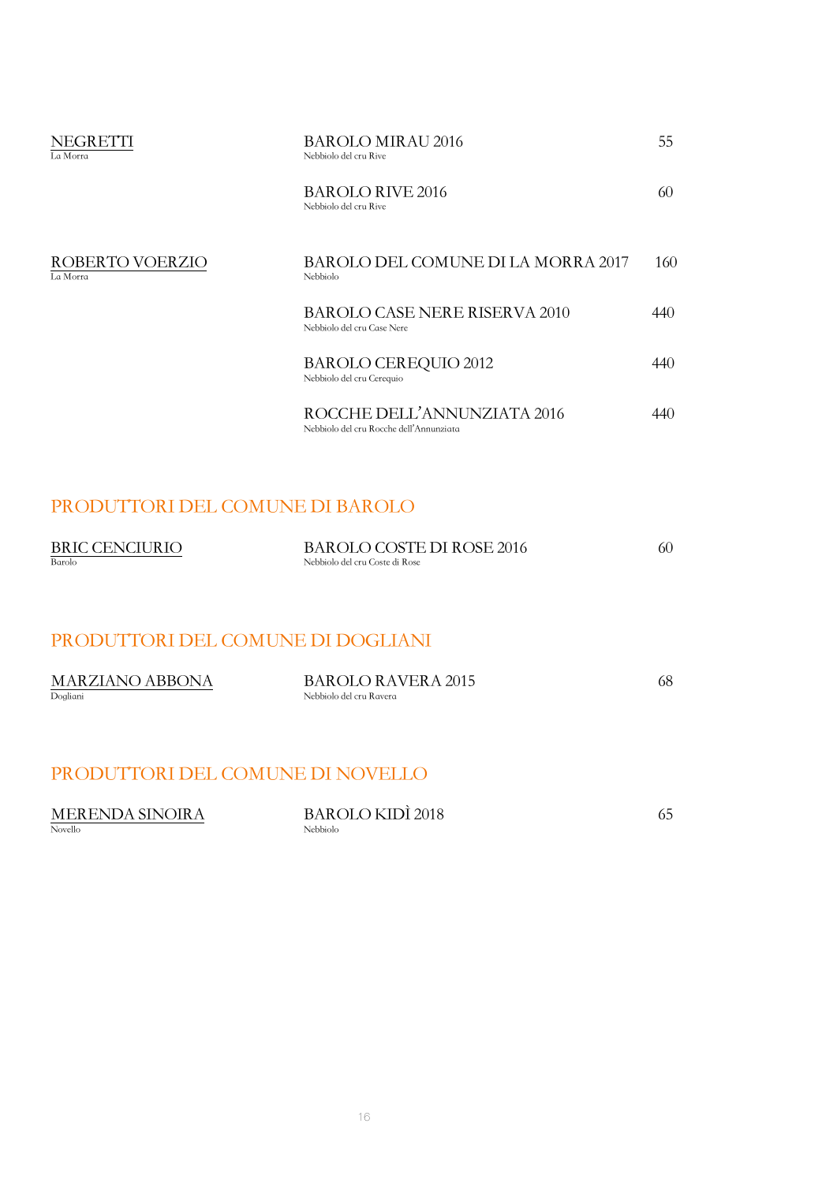| NEGRETTI<br>La Morra        | <b>BAROLO MIRAU 2016</b><br>Nebbiolo del cru Rive                      | 55. |
|-----------------------------|------------------------------------------------------------------------|-----|
|                             | <b>BAROLO RIVE 2016</b><br>Nebbiolo del cru Rive                       | 60  |
| ROBERTO VOERZIO<br>La Morra | BAROLO DEL COMUNE DI LA MORRA 2017<br>Nebbiolo                         | 160 |
|                             | <b>BAROLO CASE NERE RISERVA 2010</b><br>Nebbiolo del cru Case Nere     | 440 |
|                             | <b>BAROLO CEREQUIO 2012</b><br>Nebbiolo del cru Cerequio               | 440 |
|                             | ROCCHE DELL'ANNUNZIATA 2016<br>Nebbiolo del cru Rocche dell'Annunziata | 440 |

### PRODUTTORI DEL COMUNE DI BAROLO

| <b>BRIC CENCIURIO</b> | BAROLO COSTE DI ROSE 2016      |  |
|-----------------------|--------------------------------|--|
| Barolo                | Nebbiolo del cru Coste di Rose |  |

### PRODUTTORI DEL COMUNE DI DOGLIANI

| <b>MARZIANO ABBONA</b> | <b>BAROLO RAVERA 2015</b> | 68 |
|------------------------|---------------------------|----|
| Dogliani               | Nebbiolo del cru Ravera   |    |

### PRODUTTORI DEL COMUNE DI NOVELLO

| <b>MERENDA SINOIRA</b> | <b>BAROLO KIDÌ 2018</b> |  |
|------------------------|-------------------------|--|
| Novello                | Nebbiolo                |  |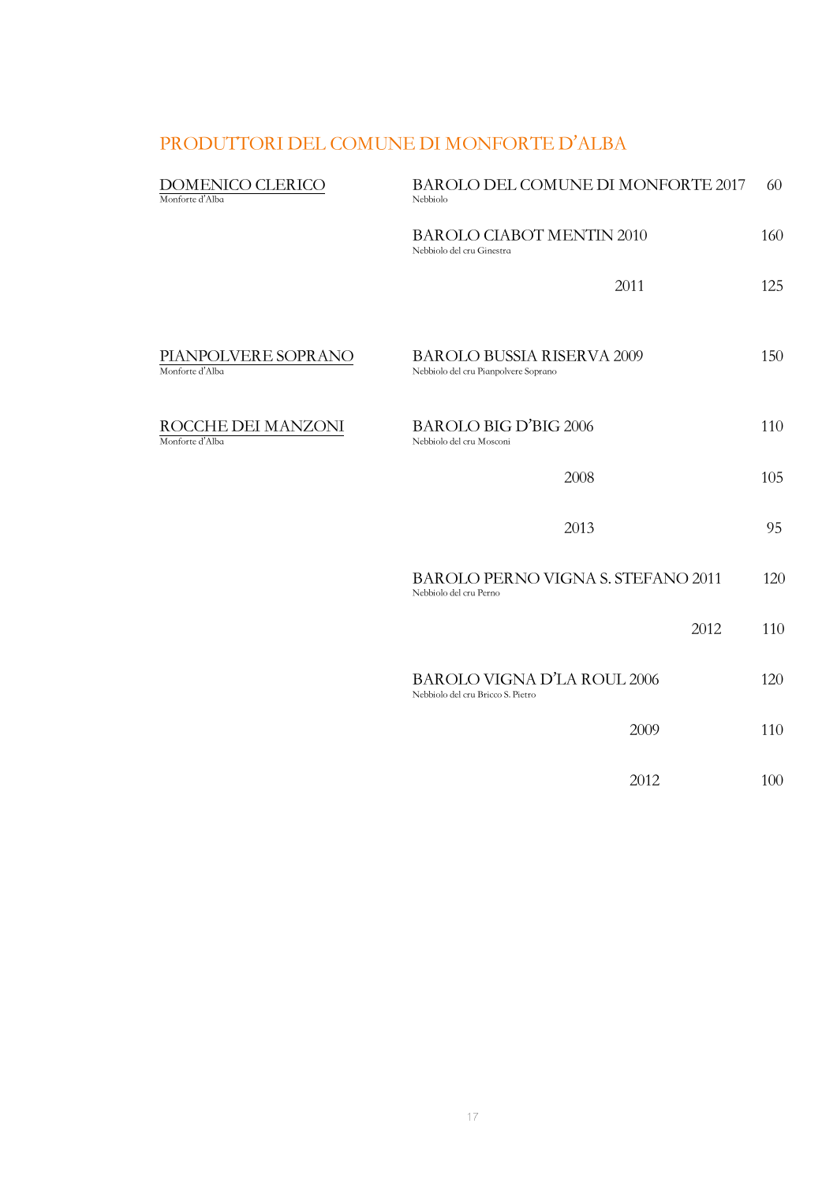## PRODUTTORI DEL COMUNE DI MONFORTE D'ALBA

| DOMENICO CLERICO<br>Monforte d'Alba    | BAROLO DEL COMUNE DI MONFORTE 2017<br>Nebbiolo                            | 60  |
|----------------------------------------|---------------------------------------------------------------------------|-----|
|                                        | <b>BAROLO CIABOT MENTIN 2010</b><br>Nebbiolo del cru Ginestra             | 160 |
|                                        | 2011                                                                      | 125 |
| PIANPOLVERE SOPRANO<br>Monforte d'Alba | <b>BAROLO BUSSIA RISERVA 2009</b><br>Nebbiolo del cru Pianpolvere Soprano | 150 |
| ROCCHE DEI MANZONI<br>Monforte d'Alba  | <b>BAROLO BIG D'BIG 2006</b><br>Nebbiolo del cru Mosconi                  | 110 |
|                                        | 2008                                                                      | 105 |
|                                        | 2013                                                                      | 95  |
|                                        | <b>BAROLO PERNO VIGNA S. STEFANO 2011</b><br>Nebbiolo del cru Perno       | 120 |
|                                        | 2012                                                                      | 110 |
|                                        | <b>BAROLO VIGNA D'LA ROUL 2006</b><br>Nebbiolo del cru Bricco S. Pietro   | 120 |
|                                        | 2009                                                                      | 110 |
|                                        | 2012                                                                      | 100 |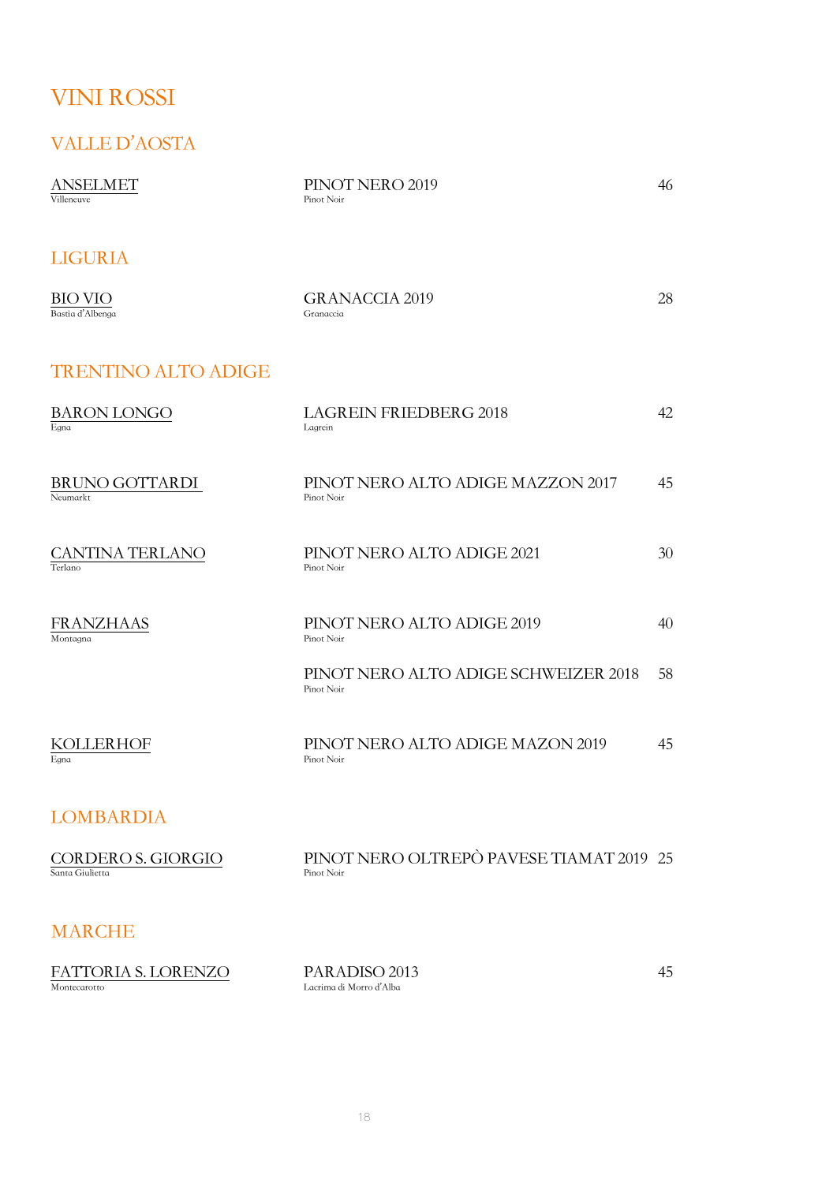# VINI ROSSI

### VALLE D'AOSTA

| <b>ANSELMET</b><br>Villeneuve         | PINOT NERO 2019<br>Pinot Noir                          | 46 |
|---------------------------------------|--------------------------------------------------------|----|
| <b>LIGURIA</b>                        |                                                        |    |
| <b>BIO VIO</b><br>Bastia d'Albenga    | <b>GRANACCIA 2019</b><br>Granaccia                     | 28 |
| <b>TRENTINO ALTO ADIGE</b>            |                                                        |    |
| <b>BARON LONGO</b><br>Egna            | <b>LAGREIN FRIEDBERG 2018</b><br>Lagrein               | 42 |
| BRUNO GOTTARDI<br>Neumarkt            | PINOT NERO ALTO ADIGE MAZZON 2017<br>Pinot Noir        | 45 |
| <b>CANTINA TERLANO</b><br>Terlano     | PINOT NERO ALTO ADIGE 2021<br>Pinot Noir               | 30 |
| FRANZHAAS<br>Montagna                 | PINOT NERO ALTO ADIGE 2019<br>Pinot Noir               | 40 |
|                                       | PINOT NERO ALTO ADIGE SCHWEIZER 2018<br>Pinot Noir     | 58 |
| <b>KOLLERHOF</b><br>Egna              | PINOT NERO ALTO ADIGE MAZON 2019<br>Pinot Noir         | 45 |
| <b>LOMBARDIA</b>                      |                                                        |    |
| CORDERO S. GIORGIO<br>Santa Giulietta | PINOT NERO OLTREPÒ PAVESE TIAMAT 2019 25<br>Pinot Noir |    |

### MARCHE

| <b>FATTORIA S. LORENZO</b> | PARADISO 2013           |  |
|----------------------------|-------------------------|--|
| Montecarotto               | Lacrima di Morro d'Alba |  |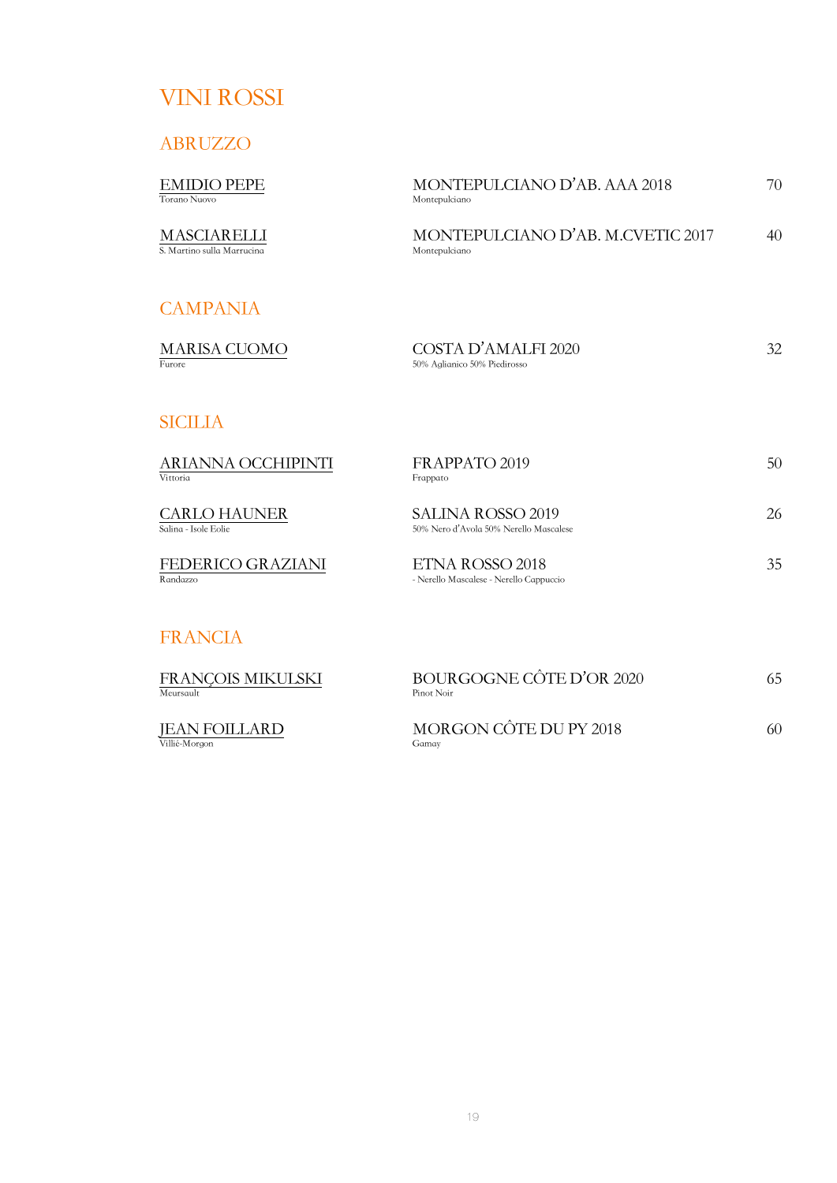# VINI ROSSI

ABRUZZO

| <b>EMIDIO PEPE</b><br>Torano Nuovo          | MONTEPULCIANO D'AB. AAA 2018<br>Montepulciano                      | 70 |
|---------------------------------------------|--------------------------------------------------------------------|----|
| MASCIARELLI<br>S. Martino sulla Marrucina   | MONTEPULCIANO D'AB. M.CVETIC 2017<br>Montepulciano                 | 40 |
| <b>CAMPANIA</b>                             |                                                                    |    |
| <b>MARISA CUOMO</b><br><b>Furore</b>        | COSTA D'AMALFI 2020<br>50% Aglianico 50% Piedirosso                | 32 |
| <b>SICILIA</b>                              |                                                                    |    |
| ARIANNA OCCHIPINTI<br>Vittoria              | FRAPPATO 2019<br>Frappato                                          | 50 |
| <b>CARLO HAUNER</b><br>Salina - Isole Eolie | <b>SALINA ROSSO 2019</b><br>50% Nero d'Avola 50% Nerello Mascalese | 26 |
| FEDERICO GRAZIANI<br>Randazzo               | ETNA ROSSO 2018<br>- Nerello Mascalese - Nerello Cappuccio         | 35 |

## FRANCIA

| FRANCOIS MIKULSKI<br>Meursault | BOURGOGNE CÔTE D'OR 2020<br>Pinot Noir | 65 |
|--------------------------------|----------------------------------------|----|
| <b>JEAN FOILLARD</b>           | MORGON CÔTE DU PY 2018                 | 60 |

Villié-Morgon Gamay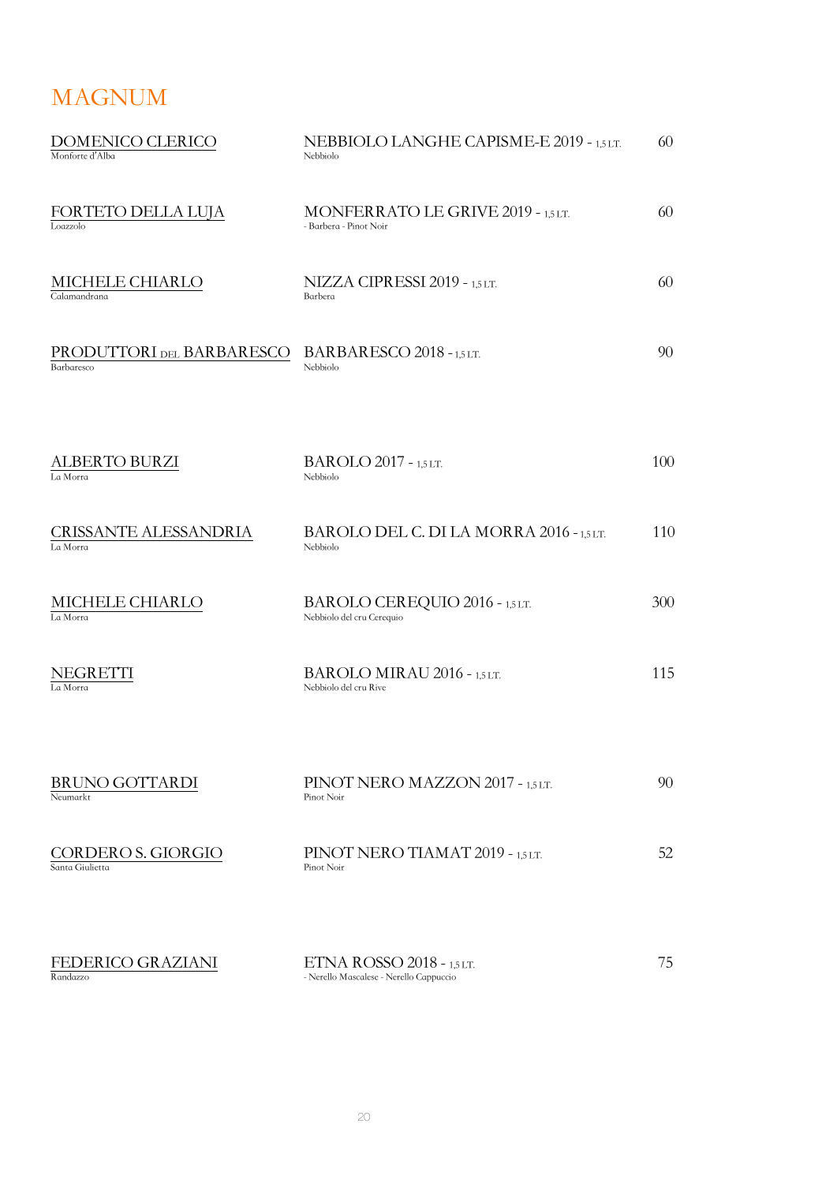# MAGNUM

| DOMENICO CLERICO<br>Monforte d'Alba     | NEBBIOLO LANGHE CAPISME-E 2019 - 1,5LT.<br>Nebbiolo                  | 60  |
|-----------------------------------------|----------------------------------------------------------------------|-----|
| FORTETO DELLA LUJA<br>Loazzolo          | MONFERRATO LE GRIVE 2019 - 1,5 LT.<br>- Barbera - Pinot Noir         | 60  |
| MICHELE CHIARLO<br>Calamandrana         | NIZZA CIPRESSI 2019 - 1,5 LT.<br>Barbera                             | 60  |
| PRODUTTORI DEL BARBARESCO<br>Barbaresco | BARBARESCO 2018 - 1,5 LT.<br>Nebbiolo                                | 90  |
| ALBERTO BURZI<br>La Morra               | <b>BAROLO 2017 - 1,5 LT.</b><br>Nebbiolo                             | 100 |
| CRISSANTE ALESSANDRIA<br>La Morra       | BAROLO DEL C. DI LA MORRA 2016 - 1,5 LT.<br>Nebbiolo                 | 110 |
| MICHELE CHIARLO<br>La Morra             | BAROLO CEREQUIO 2016 - 1,5 LT.<br>Nebbiolo del cru Cerequio          | 300 |
| NEGRETTI<br>La Morra                    | BAROLO MIRAU 2016 - 1,5 LT.<br>Nebbiolo del cru Rive                 | 115 |
| <b>BRUNO GOTTARDI</b><br>Neumarkt       | PINOT NERO MAZZON 2017 - 1,5 LT.<br>Pinot Noir                       | 90  |
| CORDERO S. GIORGIO<br>Santa Giulietta   | PINOT NERO TIAMAT 2019 - 1,5 LT.<br>Pinot Noir                       | 52  |
| FEDERICO GRAZIANI<br>Randazzo           | ETNA ROSSO 2018 - 1,5 LT.<br>- Nerello Mascalese - Nerello Cappuccio | 75  |